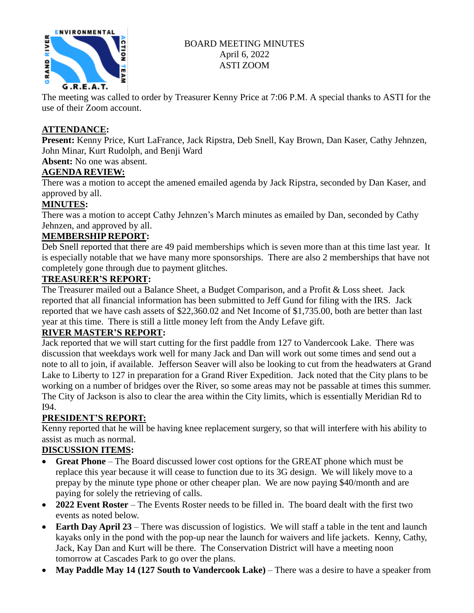

# BOARD MEETING MINUTES April 6, 2022 ASTI ZOOM

The meeting was called to order by Treasurer Kenny Price at 7:06 P.M. A special thanks to ASTI for the use of their Zoom account.

## **ATTENDANCE:**

**Present:** Kenny Price, Kurt LaFrance, Jack Ripstra, Deb Snell, Kay Brown, Dan Kaser, Cathy Jehnzen, John Minar, Kurt Rudolph, and Benji Ward

**Absent:** No one was absent.

# **AGENDA REVIEW:**

There was a motion to accept the amened emailed agenda by Jack Ripstra, seconded by Dan Kaser, and approved by all.

# **MINUTES:**

There was a motion to accept Cathy Jehnzen's March minutes as emailed by Dan, seconded by Cathy Jehnzen, and approved by all.

# **MEMBERSHIP REPORT:**

Deb Snell reported that there are 49 paid memberships which is seven more than at this time last year. It is especially notable that we have many more sponsorships. There are also 2 memberships that have not completely gone through due to payment glitches.

### **TREASURER'S REPORT:**

The Treasurer mailed out a Balance Sheet, a Budget Comparison, and a Profit & Loss sheet. Jack reported that all financial information has been submitted to Jeff Gund for filing with the IRS. Jack reported that we have cash assets of \$22,360.02 and Net Income of \$1,735.00, both are better than last year at this time. There is still a little money left from the Andy Lefave gift.

### **RIVER MASTER'S REPORT:**

Jack reported that we will start cutting for the first paddle from 127 to Vandercook Lake. There was discussion that weekdays work well for many Jack and Dan will work out some times and send out a note to all to join, if available. Jefferson Seaver will also be looking to cut from the headwaters at Grand Lake to Liberty to 127 in preparation for a Grand River Expedition. Jack noted that the City plans to be working on a number of bridges over the River, so some areas may not be passable at times this summer. The City of Jackson is also to clear the area within the City limits, which is essentially Meridian Rd to I94.

### **PRESIDENT'S REPORT:**

Kenny reported that he will be having knee replacement surgery, so that will interfere with his ability to assist as much as normal.

### **DISCUSSION ITEMS:**

- **Great Phone** The Board discussed lower cost options for the GREAT phone which must be replace this year because it will cease to function due to its 3G design. We will likely move to a prepay by the minute type phone or other cheaper plan. We are now paying \$40/month and are paying for solely the retrieving of calls.
- **2022 Event Roster** The Events Roster needs to be filled in. The board dealt with the first two events as noted below.
- **Earth Day April 23** There was discussion of logistics. We will staff a table in the tent and launch kayaks only in the pond with the pop-up near the launch for waivers and life jackets. Kenny, Cathy, Jack, Kay Dan and Kurt will be there. The Conservation District will have a meeting noon tomorrow at Cascades Park to go over the plans.
- **May Paddle May 14 (127 South to Vandercook Lake)** There was a desire to have a speaker from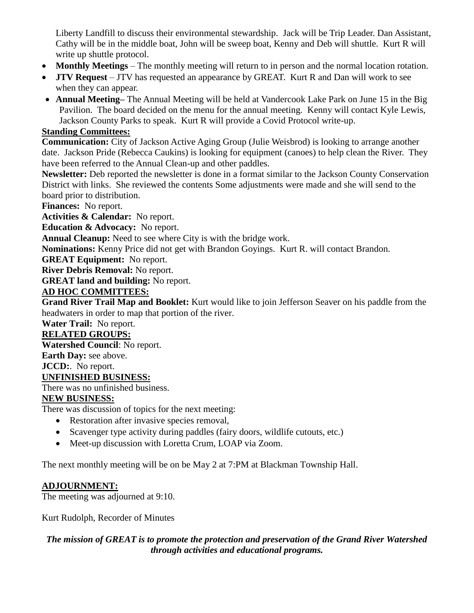Liberty Landfill to discuss their environmental stewardship. Jack will be Trip Leader. Dan Assistant, Cathy will be in the middle boat, John will be sweep boat, Kenny and Deb will shuttle. Kurt R will write up shuttle protocol.

- **Monthly Meetings** The monthly meeting will return to in person and the normal location rotation.
- **JTV Request** JTV has requested an appearance by GREAT. Kurt R and Dan will work to see when they can appear.
- **Annual Meeting–** The Annual Meeting will be held at Vandercook Lake Park on June 15 in the Big Pavilion. The board decided on the menu for the annual meeting. Kenny will contact Kyle Lewis, Jackson County Parks to speak. Kurt R will provide a Covid Protocol write-up.

## **Standing Committees:**

**Communication:** City of Jackson Active Aging Group (Julie Weisbrod) is looking to arrange another date. Jackson Pride (Rebecca Caukins) is looking for equipment (canoes) to help clean the River. They have been referred to the Annual Clean-up and other paddles.

**Newsletter:** Deb reported the newsletter is done in a format similar to the Jackson County Conservation District with links. She reviewed the contents Some adjustments were made and she will send to the board prior to distribution.

**Finances:** No report.

**Activities & Calendar:** No report.

**Education & Advocacy:** No report.

**Annual Cleanup:** Need to see where City is with the bridge work.

**Nominations:** Kenny Price did not get with Brandon Goyings. Kurt R. will contact Brandon.

**GREAT Equipment:** No report.

**River Debris Removal:** No report.

**GREAT land and building:** No report.

### **AD HOC COMMITTEES:**

**Grand River Trail Map and Booklet:** Kurt would like to join Jefferson Seaver on his paddle from the headwaters in order to map that portion of the river.

**Water Trail:** No report.

## **RELATED GROUPS:**

**Watershed Council**: No report.

**Earth Day:** see above.

**JCCD:**. No report.

### **UNFINISHED BUSINESS:**

There was no unfinished business.

### **NEW BUSINESS:**

There was discussion of topics for the next meeting:

- Restoration after invasive species removal,
- Scavenger type activity during paddles (fairy doors, wildlife cutouts, etc.)
- Meet-up discussion with Loretta Crum, LOAP via Zoom.

The next monthly meeting will be on be May 2 at 7:PM at Blackman Township Hall.

### **ADJOURNMENT:**

The meeting was adjourned at 9:10.

Kurt Rudolph, Recorder of Minutes

### *The mission of GREAT is to promote the protection and preservation of the Grand River Watershed through activities and educational programs.*